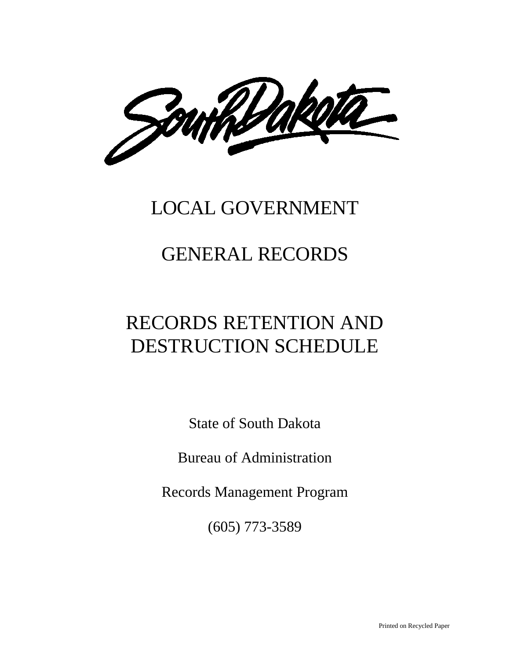Southbakella

## LOCAL GOVERNMENT

## GENERAL RECORDS

# RECORDS RETENTION AND DESTRUCTION SCHEDULE

State of South Dakota

Bureau of Administration

Records Management Program

(605) 773-3589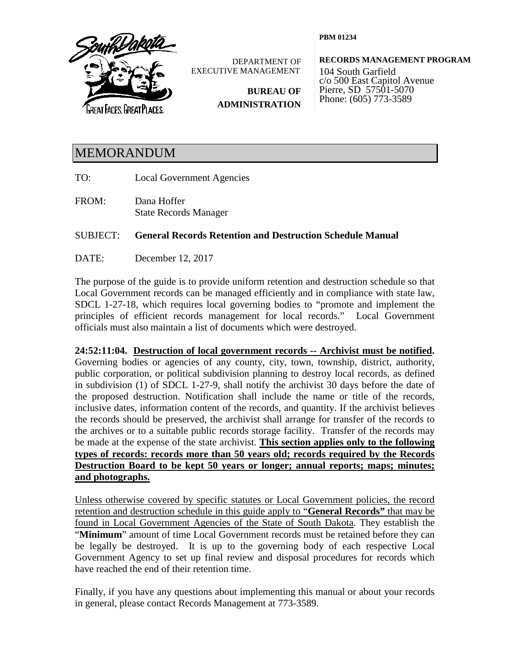

DEPARTMENT OF EXECUTIVE MANAGEMENT

> **BUREAU OF ADMINISTRATION**

**PBM 01234**

**RECORDS MANAGEMENT PROGRAM**

104 South Garfield c/o 500 East Capitol Avenue Pierre, SD 57501-5070 Phone: (605) 773-3589

### MEMORANDUM

- TO: Local Government Agencies
- FROM: Dana Hoffer State Records Manager

SUBJECT: **General Records Retention and Destruction Schedule Manual**

DATE: December 12, 2017

The purpose of the guide is to provide uniform retention and destruction schedule so that Local Government records can be managed efficiently and in compliance with state law, SDCL 1-27-18, which requires local governing bodies to "promote and implement the principles of efficient records management for local records." Local Government officials must also maintain a list of documents which were destroyed.

**24:52:11:04. Destruction of local government records -- Archivist must be notified.** Governing bodies or agencies of any county, city, town, township, district, authority, public corporation, or political subdivision planning to destroy local records, as defined in subdivision (1) of SDCL 1-27-9, shall notify the archivist 30 days before the date of the proposed destruction. Notification shall include the name or title of the records, inclusive dates, information content of the records, and quantity. If the archivist believes the records should be preserved, the archivist shall arrange for transfer of the records to the archives or to a suitable public records storage facility. Transfer of the records may be made at the expense of the state archivist. **This section applies only to the following types of records: records more than 50 years old; records required by the Records Destruction Board to be kept 50 years or longer; annual reports; maps; minutes; and photographs.**

Unless otherwise covered by specific statutes or Local Government policies, the record retention and destruction schedule in this guide apply to "**General Records"** that may be found in Local Government Agencies of the State of South Dakota. They establish the "**Minimum**" amount of time Local Government records must be retained before they can be legally be destroyed. It is up to the governing body of each respective Local Government Agency to set up final review and disposal procedures for records which have reached the end of their retention time.

Finally, if you have any questions about implementing this manual or about your records in general, please contact Records Management at 773-3589.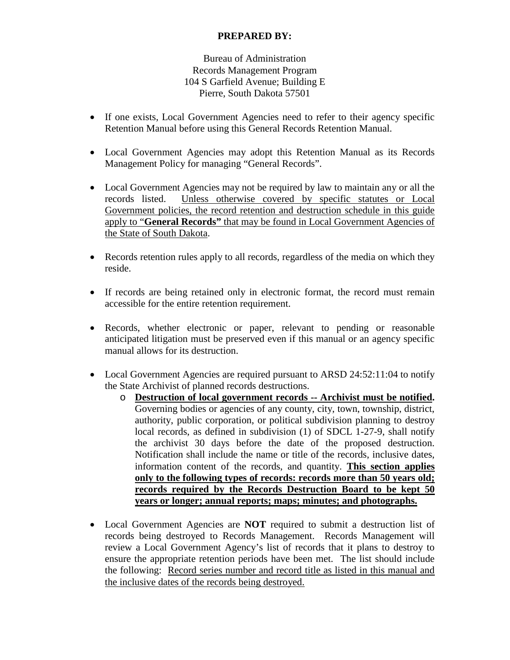### **PREPARED BY:**

Bureau of Administration Records Management Program 104 S Garfield Avenue; Building E Pierre, South Dakota 57501

- If one exists, Local Government Agencies need to refer to their agency specific Retention Manual before using this General Records Retention Manual.
- Local Government Agencies may adopt this Retention Manual as its Records Management Policy for managing "General Records".
- Local Government Agencies may not be required by law to maintain any or all the records listed. Unless otherwise covered by specific statutes or Local Government policies, the record retention and destruction schedule in this guide apply to "**General Records"** that may be found in Local Government Agencies of the State of South Dakota.
- Records retention rules apply to all records, regardless of the media on which they reside.
- If records are being retained only in electronic format, the record must remain accessible for the entire retention requirement.
- Records, whether electronic or paper, relevant to pending or reasonable anticipated litigation must be preserved even if this manual or an agency specific manual allows for its destruction.
- Local Government Agencies are required pursuant to ARSD 24:52:11:04 to notify the State Archivist of planned records destructions.
	- o **Destruction of local government records -- Archivist must be notified.** Governing bodies or agencies of any county, city, town, township, district, authority, public corporation, or political subdivision planning to destroy local records, as defined in subdivision (1) of SDCL 1-27-9, shall notify the archivist 30 days before the date of the proposed destruction. Notification shall include the name or title of the records, inclusive dates, information content of the records, and quantity. **This section applies only to the following types of records: records more than 50 years old; records required by the Records Destruction Board to be kept 50 years or longer; annual reports; maps; minutes; and photographs.**
- Local Government Agencies are **NOT** required to submit a destruction list of records being destroyed to Records Management. Records Management will review a Local Government Agency's list of records that it plans to destroy to ensure the appropriate retention periods have been met. The list should include the following: Record series number and record title as listed in this manual and the inclusive dates of the records being destroyed.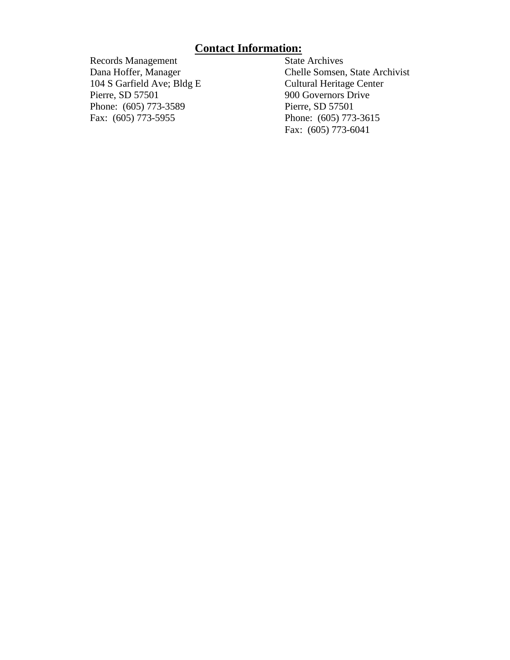# **Contact Information:**<br>State Archives

Records Management<br>Dana Hoffer, Manager 104 S Garfield Ave; Bldg E<br>Pierre, SD 57501 Phone: (605) 773-3589<br>Fax: (605) 773-5955

Chelle Somsen, State Archivist<br>Cultural Heritage Center 900 Governors Drive<br>Pierre, SD 57501 Phone: (605) 773-3615 Fax: (605) 773-6041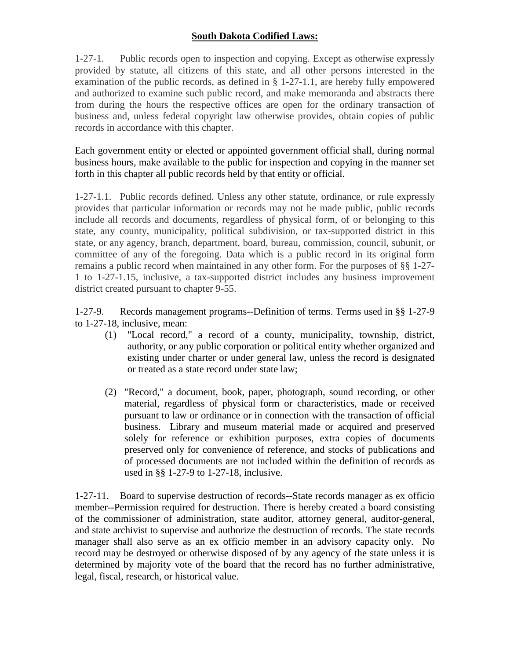### **South Dakota Codified Laws:**

1-27-1. Public records open to inspection and copying. Except as otherwise expressly provided by statute, all citizens of this state, and all other persons interested in the examination of the public records, as defined in § 1-27-1.1, are hereby fully empowered and authorized to examine such public record, and make memoranda and abstracts there from during the hours the respective offices are open for the ordinary transaction of business and, unless federal copyright law otherwise provides, obtain copies of public records in accordance with this chapter.

Each government entity or elected or appointed government official shall, during normal business hours, make available to the public for inspection and copying in the manner set forth in this chapter all public records held by that entity or official.

1-27-1.1. Public records defined. Unless any other statute, ordinance, or rule expressly provides that particular information or records may not be made public, public records include all records and documents, regardless of physical form, of or belonging to this state, any county, municipality, political subdivision, or tax-supported district in this state, or any agency, branch, department, board, bureau, commission, council, subunit, or committee of any of the foregoing. Data which is a public record in its original form remains a public record when maintained in any other form. For the purposes of §§ 1-27- 1 to 1-27-1.15, inclusive, a tax-supported district includes any business improvement district created pursuant to chapter 9-55.

1-27-9. Records management programs--Definition of terms. Terms used in §§ 1-27-9 to 1-27-18, inclusive, mean:

- (1) "Local record," a record of a county, municipality, township, district, authority, or any public corporation or political entity whether organized and existing under charter or under general law, unless the record is designated or treated as a state record under state law;
- (2) "Record," a document, book, paper, photograph, sound recording, or other material, regardless of physical form or characteristics, made or received pursuant to law or ordinance or in connection with the transaction of official business. Library and museum material made or acquired and preserved solely for reference or exhibition purposes, extra copies of documents preserved only for convenience of reference, and stocks of publications and of processed documents are not included within the definition of records as used in §§ 1-27-9 to 1-27-18, inclusive.

1-27-11. Board to supervise destruction of records--State records manager as ex officio member--Permission required for destruction. There is hereby created a board consisting of the commissioner of administration, state auditor, attorney general, auditor-general, and state archivist to supervise and authorize the destruction of records. The state records manager shall also serve as an ex officio member in an advisory capacity only. No record may be destroyed or otherwise disposed of by any agency of the state unless it is determined by majority vote of the board that the record has no further administrative, legal, fiscal, research, or historical value.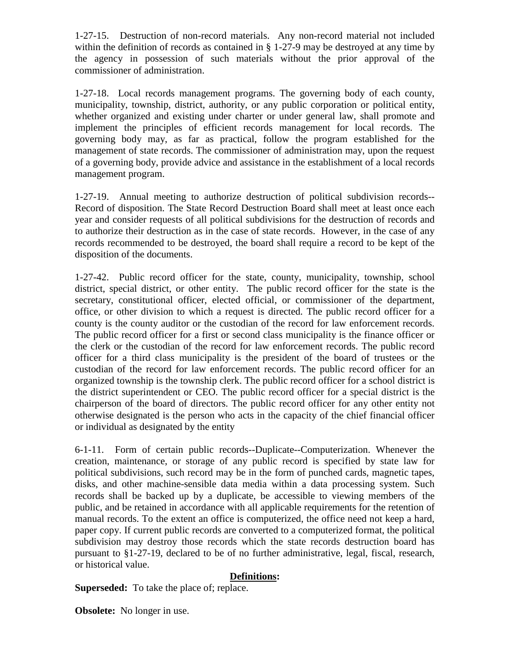1-27-15. Destruction of non-record materials. Any non-record material not included within the definition of records as contained in § 1-27-9 may be destroyed at any time by the agency in possession of such materials without the prior approval of the commissioner of administration.

1-27-18. Local records management programs. The governing body of each county, municipality, township, district, authority, or any public corporation or political entity, whether organized and existing under charter or under general law, shall promote and implement the principles of efficient records management for local records. The governing body may, as far as practical, follow the program established for the management of state records. The commissioner of administration may, upon the request of a governing body, provide advice and assistance in the establishment of a local records management program.

1-27-19. Annual meeting to authorize destruction of political subdivision records-- Record of disposition. The State Record Destruction Board shall meet at least once each year and consider requests of all political subdivisions for the destruction of records and to authorize their destruction as in the case of state records. However, in the case of any records recommended to be destroyed, the board shall require a record to be kept of the disposition of the documents.

1-27-42. Public record officer for the state, county, municipality, township, school district, special district, or other entity. The public record officer for the state is the secretary, constitutional officer, elected official, or commissioner of the department, office, or other division to which a request is directed. The public record officer for a county is the county auditor or the custodian of the record for law enforcement records. The public record officer for a first or second class municipality is the finance officer or the clerk or the custodian of the record for law enforcement records. The public record officer for a third class municipality is the president of the board of trustees or the custodian of the record for law enforcement records. The public record officer for an organized township is the township clerk. The public record officer for a school district is the district superintendent or CEO. The public record officer for a special district is the chairperson of the board of directors. The public record officer for any other entity not otherwise designated is the person who acts in the capacity of the chief financial officer or individual as designated by the entity

6-1-11. Form of certain public records--Duplicate--Computerization. Whenever the creation, maintenance, or storage of any public record is specified by state law for political subdivisions, such record may be in the form of punched cards, magnetic tapes, disks, and other machine-sensible data media within a data processing system. Such records shall be backed up by a duplicate, be accessible to viewing members of the public, and be retained in accordance with all applicable requirements for the retention of manual records. To the extent an office is computerized, the office need not keep a hard, paper copy. If current public records are converted to a computerized format, the political subdivision may destroy those records which the state records destruction board has pursuant to §1-27-19, declared to be of no further administrative, legal, fiscal, research, or historical value.

### **Definitions:**

**Superseded:** To take the place of; replace.

**Obsolete:** No longer in use.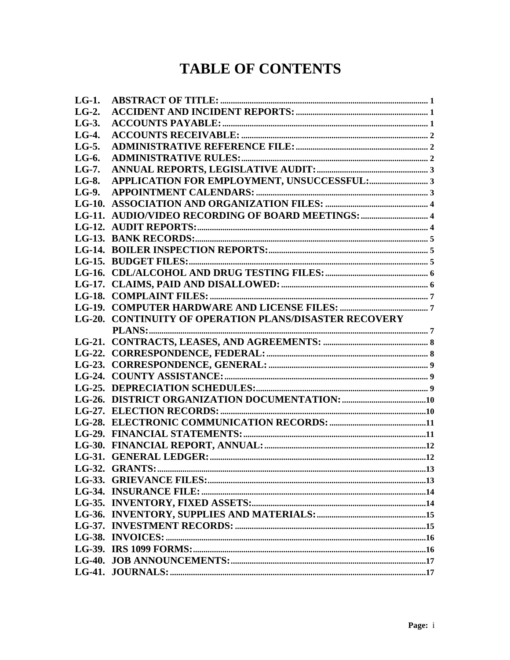## **TABLE OF CONTENTS**

| $LG-1$ .     |                                                               |  |
|--------------|---------------------------------------------------------------|--|
| $LG-2$ .     |                                                               |  |
| $LG-3$ .     |                                                               |  |
| $LG-4.$      |                                                               |  |
| LG-5.        |                                                               |  |
| $LG-6.$      |                                                               |  |
| $LG-7.$      |                                                               |  |
| <b>LG-8.</b> |                                                               |  |
| LG-9.        |                                                               |  |
|              |                                                               |  |
|              |                                                               |  |
|              |                                                               |  |
|              |                                                               |  |
|              |                                                               |  |
|              |                                                               |  |
|              |                                                               |  |
|              |                                                               |  |
|              |                                                               |  |
|              |                                                               |  |
|              | <b>LG-20. CONTINUITY OF OPERATION PLANS/DISASTER RECOVERY</b> |  |
|              |                                                               |  |
|              |                                                               |  |
|              |                                                               |  |
|              |                                                               |  |
|              |                                                               |  |
|              |                                                               |  |
|              |                                                               |  |
|              |                                                               |  |
|              |                                                               |  |
|              |                                                               |  |
|              |                                                               |  |
|              |                                                               |  |
|              |                                                               |  |
|              |                                                               |  |
|              |                                                               |  |
|              |                                                               |  |
|              |                                                               |  |
|              |                                                               |  |
|              |                                                               |  |
|              |                                                               |  |
|              |                                                               |  |
|              |                                                               |  |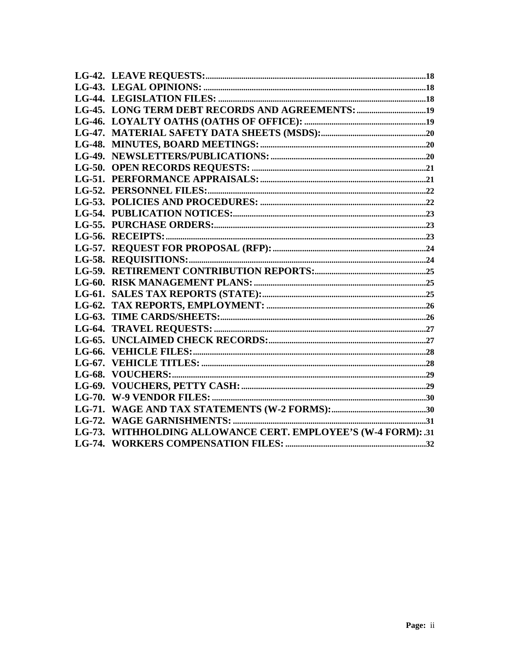| LG-73. WITHHOLDING ALLOWANCE CERT. EMPLOYEE'S (W-4 FORM): .31 |  |
|---------------------------------------------------------------|--|
|                                                               |  |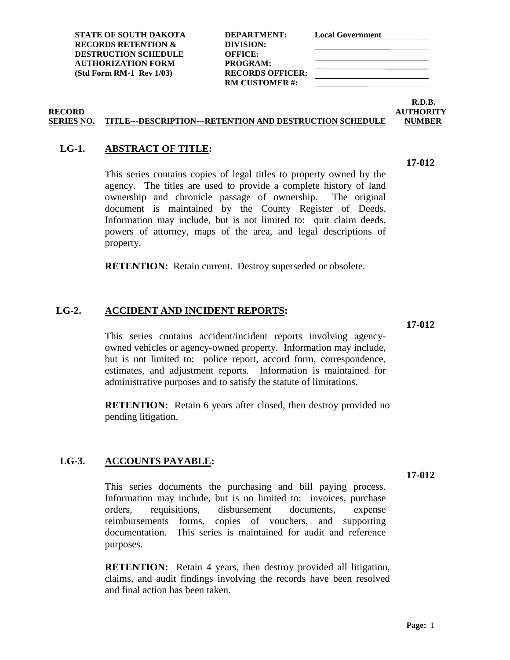**17-012**

**STATE OF SOUTH DAKOTA DEPARTMENT: Local Government RECORDS RETENTION & DIVISION: DESTRUCTION SCHEDULE OFFICE: AUTHORIZATION FORM PROGRAM: (Std Form RM-1 Rev 1/03) RECORDS OFFICER:**

**RM CUSTOMER #:**

**R.D.B.**

### **RECORD AUTHORITY SERIES NO. TITLE---DESCRIPTION---RETENTION AND DESTRUCTION SCHEDULE NUMBER**

### <span id="page-8-0"></span>**LG-1. ABSTRACT OF TITLE:**

This series contains copies of legal titles to property owned by the agency. The titles are used to provide a complete history of land ownership and chronicle passage of ownership. The original document is maintained by the County Register of Deeds. Information may include, but is not limited to: quit claim deeds, powers of attorney, maps of the area, and legal descriptions of property.

**RETENTION:** Retain current. Destroy superseded or obsolete.

### <span id="page-8-1"></span>**LG-2. ACCIDENT AND INCIDENT REPORTS:**

This series contains accident/incident reports involving agencyowned vehicles or agency-owned property. Information may include, but is not limited to: police report, accord form, correspondence, estimates, and adjustment reports. Information is maintained for administrative purposes and to satisfy the statute of limitations.

**RETENTION:** Retain 6 years after closed, then destroy provided no pending litigation.

### <span id="page-8-2"></span>**LG-3. ACCOUNTS PAYABLE:**

This series documents the purchasing and bill paying process. Information may include, but is no limited to: invoices, purchase orders, requisitions, disbursement documents, expense reimbursements forms, copies of vouchers, and supporting documentation. This series is maintained for audit and reference purposes.

**RETENTION:** Retain 4 years, then destroy provided all litigation, claims, and audit findings involving the records have been resolved and final action has been taken.

**17-012**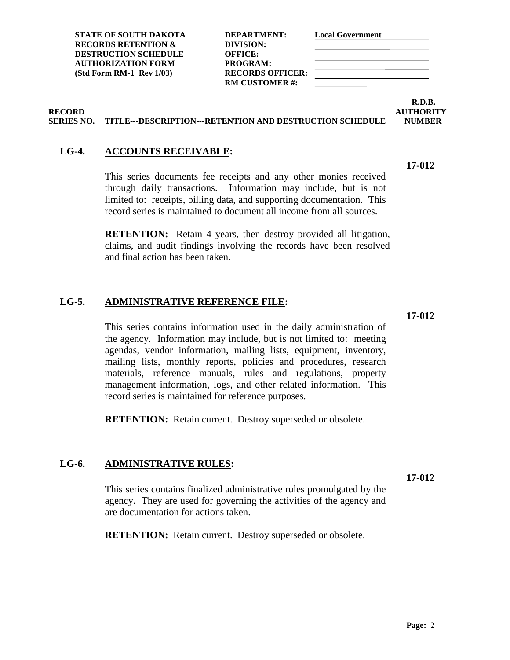| DEPARTMENT:             |
|-------------------------|
| DIVISION:               |
| <b>OFFICE:</b>          |
| PROGRAM:                |
| <b>RECORDS OFFICER:</b> |
| <b>RM CUSTOMER#:</b>    |
|                         |

### **R.D.B. RECORD AUTHORITY**

**17-012**

### **SERIES NO. TITLE---DESCRIPTION---RETENTION AND DESTRUCTION SCHEDULE NUMBER**

### <span id="page-9-0"></span>**LG-4. ACCOUNTS RECEIVABLE:**

This series documents fee receipts and any other monies received through daily transactions. Information may include, but is not limited to: receipts, billing data, and supporting documentation. This record series is maintained to document all income from all sources.

**RETENTION:** Retain 4 years, then destroy provided all litigation, claims, and audit findings involving the records have been resolved and final action has been taken.

### <span id="page-9-1"></span>**LG-5. ADMINISTRATIVE REFERENCE FILE:**

This series contains information used in the daily administration of the agency. Information may include, but is not limited to: meeting agendas, vendor information, mailing lists, equipment, inventory, mailing lists, monthly reports, policies and procedures, research materials, reference manuals, rules and regulations, property management information, logs, and other related information. This record series is maintained for reference purposes.

**RETENTION:** Retain current. Destroy superseded or obsolete.

### <span id="page-9-2"></span>**LG-6. ADMINISTRATIVE RULES:**

This series contains finalized administrative rules promulgated by the agency. They are used for governing the activities of the agency and are documentation for actions taken.

**RETENTION:** Retain current. Destroy superseded or obsolete.

**17-012**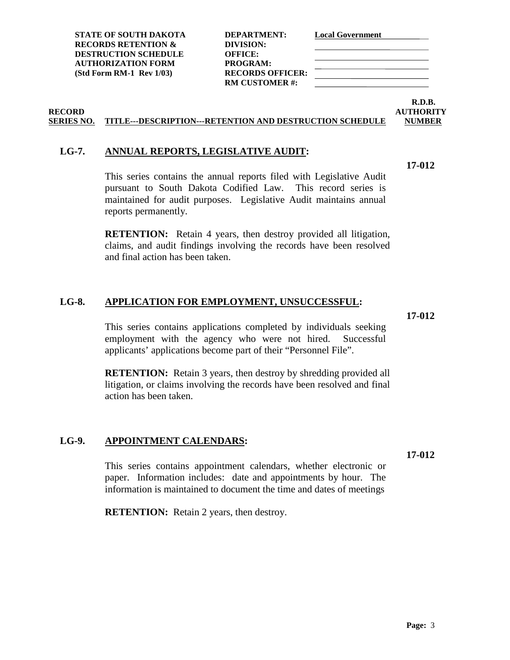**17-012**

This series contains the annual reports filed with Legislative Audit pursuant to South Dakota Codified Law. This record series is maintained for audit purposes. Legislative Audit maintains annual reports permanently.

**RETENTION:** Retain 4 years, then destroy provided all litigation, claims, and audit findings involving the records have been resolved and final action has been taken.

### <span id="page-10-1"></span>**LG-8. APPLICATION FOR EMPLOYMENT, UNSUCCESSFUL:**

This series contains applications completed by individuals seeking employment with the agency who were not hired. Successful applicants' applications become part of their "Personnel File".

**RETENTION:** Retain 3 years, then destroy by shredding provided all litigation, or claims involving the records have been resolved and final action has been taken.

### <span id="page-10-2"></span>**LG-9. APPOINTMENT CALENDARS:**

This series contains appointment calendars, whether electronic or paper. Information includes: date and appointments by hour. The information is maintained to document the time and dates of meetings

**RETENTION:** Retain 2 years, then destroy.

**RECORDS RETENTION & DIVISION: DESTRUCTION SCHEDULE OFFICE: AUTHORIZATION FORM PROGRAM:**

**STATE OF SOUTH DAKOTA DEPARTMENT: Local Government (Std Form RM-1 Rev 1/03) RECORDS OFFICER: RM CUSTOMER #:**

### **RECORD AUTHORITY SERIES NO. TITLE---DESCRIPTION---RETENTION AND DESTRUCTION SCHEDULE NUMBER**

### <span id="page-10-0"></span>**LG-7. ANNUAL REPORTS, LEGISLATIVE AUDIT:**

### **17-012**

**17-012**

**R.D.B.**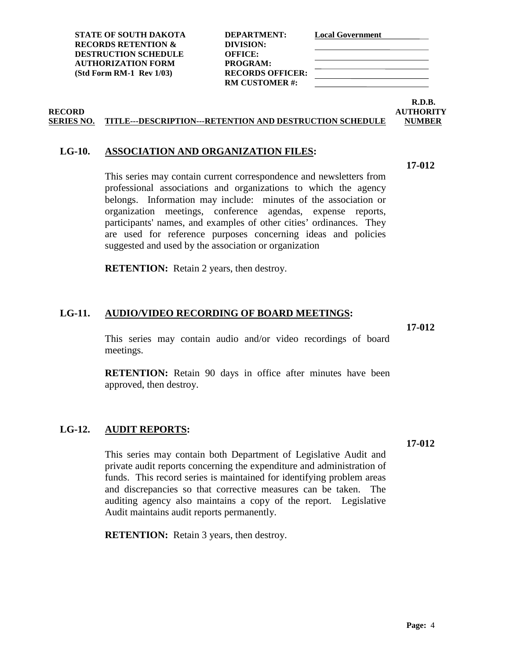**RM CUSTOMER #:**

## <span id="page-11-0"></span>**LG-10. ASSOCIATION AND ORGANIZATION FILES:**

This series may contain current correspondence and newsletters from professional associations and organizations to which the agency belongs. Information may include: minutes of the association or organization meetings, conference agendas, expense reports, participants' names, and examples of other cities' ordinances. They are used for reference purposes concerning ideas and policies suggested and used by the association or organization

**RECORD AUTHORITY SERIES NO. TITLE---DESCRIPTION---RETENTION AND DESTRUCTION SCHEDULE NUMBER**

**RETENTION:** Retain 2 years, then destroy.

### <span id="page-11-1"></span>**LG-11. AUDIO/VIDEO RECORDING OF BOARD MEETINGS:**

This series may contain audio and/or video recordings of board meetings.

**RETENTION:** Retain 90 days in office after minutes have been approved, then destroy.

### <span id="page-11-2"></span>**LG-12. AUDIT REPORTS:**

This series may contain both Department of Legislative Audit and private audit reports concerning the expenditure and administration of funds. This record series is maintained for identifying problem areas and discrepancies so that corrective measures can be taken. The auditing agency also maintains a copy of the report. Legislative Audit maintains audit reports permanently.

**RETENTION:** Retain 3 years, then destroy.

**17-012**

**R.D.B.**

**17-012**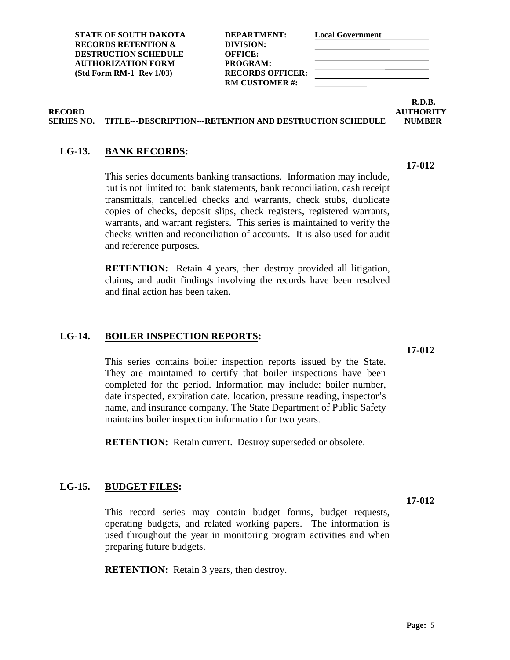**STATE OF SOUTH DAKOTA DEPARTMENT: Local Government RECORDS RETENTION & DIVISION: DESTRUCTION SCHEDULE OFFICE: AUTHORIZATION FORM PROGRAM: (Std Form RM-1 Rev 1/03) RECORDS OFFICER:**

**RM CUSTOMER #:**

### **R.D.B. RECORD AUTHORITY**

### **SERIES NO. TITLE---DESCRIPTION---RETENTION AND DESTRUCTION SCHEDULE NUMBER**

### <span id="page-12-0"></span>**LG-13. BANK RECORDS:**

This series documents banking transactions. Information may include, but is not limited to: bank statements, bank reconciliation, cash receipt transmittals, cancelled checks and warrants, check stubs, duplicate copies of checks, deposit slips, check registers, registered warrants, warrants, and warrant registers. This series is maintained to verify the checks written and reconciliation of accounts. It is also used for audit and reference purposes.

**RETENTION:** Retain 4 years, then destroy provided all litigation, claims, and audit findings involving the records have been resolved and final action has been taken.

### <span id="page-12-1"></span>**LG-14. BOILER INSPECTION REPORTS:**

This series contains boiler inspection reports issued by the State. They are maintained to certify that boiler inspections have been completed for the period. Information may include: boiler number, date inspected, expiration date, location, pressure reading, inspector's name, and insurance company. The State Department of Public Safety maintains boiler inspection information for two years.

**RETENTION:** Retain current. Destroy superseded or obsolete.

### <span id="page-12-2"></span>**LG-15. BUDGET FILES:**

This record series may contain budget forms, budget requests, operating budgets, and related working papers. The information is used throughout the year in monitoring program activities and when preparing future budgets.

**RETENTION:** Retain 3 years, then destroy.

**17-012**

**17-012**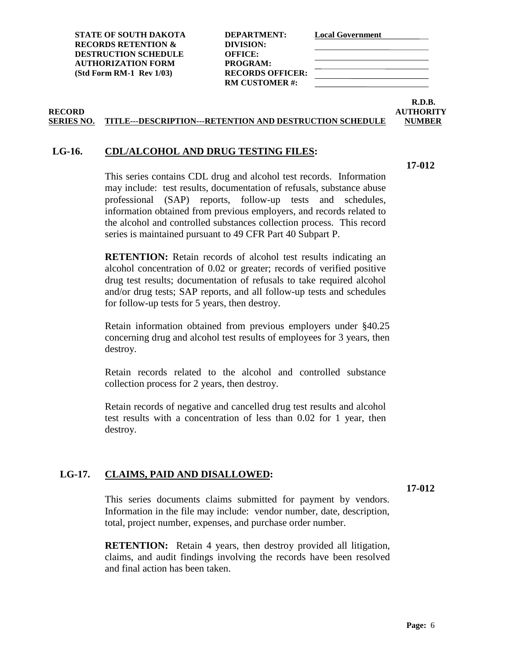| DEPARTMENT:             |
|-------------------------|
| DIVISION:               |
| <b>OFFICE:</b>          |
| <b>PROGRAM:</b>         |
| <b>RECORDS OFFICER:</b> |
| <b>RM CUSTOMER #:</b>   |
|                         |

**R.D.B. RECORD AUTHORITY**

### **SERIES NO. TITLE---DESCRIPTION---RETENTION AND DESTRUCTION SCHEDULE NUMBER**

### <span id="page-13-0"></span>**LG-16. CDL/ALCOHOL AND DRUG TESTING FILES:**

**17-012**

This series contains CDL drug and alcohol test records. Information may include: test results, documentation of refusals, substance abuse professional (SAP) reports, follow-up tests and schedules, information obtained from previous employers, and records related to the alcohol and controlled substances collection process. This record series is maintained pursuant to 49 CFR Part 40 Subpart P.

**RETENTION:** Retain records of alcohol test results indicating an alcohol concentration of 0.02 or greater; records of verified positive drug test results; documentation of refusals to take required alcohol and/or drug tests; SAP reports, and all follow-up tests and schedules for follow-up tests for 5 years, then destroy.

Retain information obtained from previous employers under §40.25 concerning drug and alcohol test results of employees for 3 years, then destroy.

Retain records related to the alcohol and controlled substance collection process for 2 years, then destroy.

Retain records of negative and cancelled drug test results and alcohol test results with a concentration of less than 0.02 for 1 year, then destroy.

### <span id="page-13-1"></span>**LG-17. CLAIMS, PAID AND DISALLOWED:**

**17-012**

This series documents claims submitted for payment by vendors. Information in the file may include: vendor number, date, description, total, project number, expenses, and purchase order number.

**RETENTION:** Retain 4 years, then destroy provided all litigation, claims, and audit findings involving the records have been resolved and final action has been taken.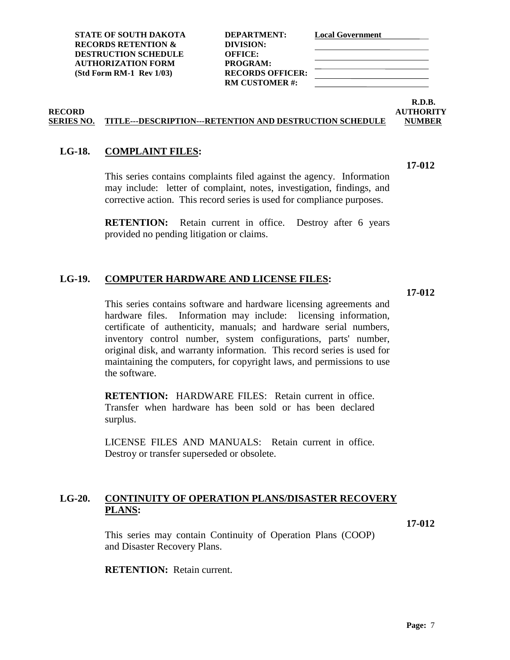**RM CUSTOMER #:**

**R.D.B.**

**17-012**

### **RECORD AUTHORITY SERIES NO. TITLE---DESCRIPTION---RETENTION AND DESTRUCTION SCHEDULE NUMBER**

### <span id="page-14-0"></span>**LG-18. COMPLAINT FILES:**

This series contains complaints filed against the agency. Information may include: letter of complaint, notes, investigation, findings, and corrective action. This record series is used for compliance purposes.

**RETENTION:** Retain current in office. Destroy after 6 years provided no pending litigation or claims.

### <span id="page-14-1"></span>**LG-19. COMPUTER HARDWARE AND LICENSE FILES:**

**17-012**

This series contains software and hardware licensing agreements and hardware files. Information may include: licensing information, certificate of authenticity, manuals; and hardware serial numbers, inventory control number, system configurations, parts' number, original disk, and warranty information. This record series is used for maintaining the computers, for copyright laws, and permissions to use the software.

**RETENTION:** HARDWARE FILES: Retain current in office. Transfer when hardware has been sold or has been declared surplus.

LICENSE FILES AND MANUALS: Retain current in office. Destroy or transfer superseded or obsolete.

### <span id="page-14-2"></span>**LG-20. CONTINUITY OF OPERATION PLANS/DISASTER RECOVERY PLANS:**

**17-012**

This series may contain Continuity of Operation Plans (COOP) and Disaster Recovery Plans.

**RETENTION:** Retain current.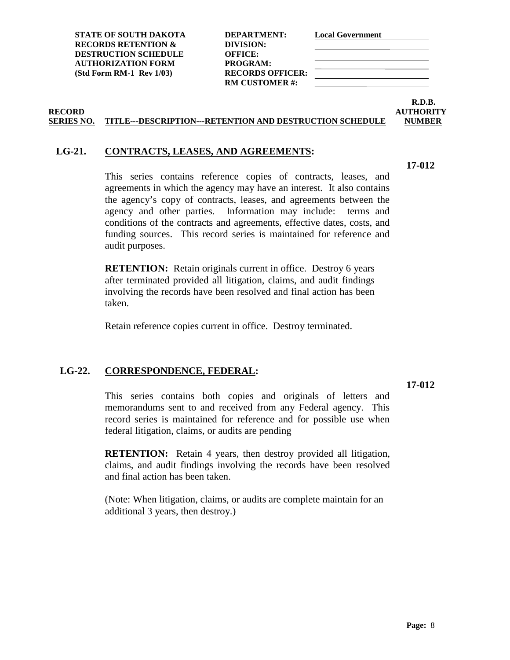| DEPARTMENT:           |
|-----------------------|
| DIVISION:             |
| <b>OFFICE:</b>        |
| <b>PROGRAM:</b>       |
| RECORDS OFFICER:      |
| <b>RM CUSTOMER #:</b> |
|                       |

### **R.D.B. RECORD AUTHORITY**

### **SERIES NO. TITLE---DESCRIPTION---RETENTION AND DESTRUCTION SCHEDULE NUMBER**

### <span id="page-15-0"></span>**LG-21. CONTRACTS, LEASES, AND AGREEMENTS:**

This series contains reference copies of contracts, leases, and agreements in which the agency may have an interest. It also contains the agency's copy of contracts, leases, and agreements between the agency and other parties. Information may include: terms and conditions of the contracts and agreements, effective dates, costs, and funding sources. This record series is maintained for reference and audit purposes.

**RETENTION:** Retain originals current in office. Destroy 6 years after terminated provided all litigation, claims, and audit findings involving the records have been resolved and final action has been taken.

Retain reference copies current in office. Destroy terminated.

### <span id="page-15-1"></span>**LG-22. CORRESPONDENCE, FEDERAL:**

### **17-012**

This series contains both copies and originals of letters and memorandums sent to and received from any Federal agency. This record series is maintained for reference and for possible use when federal litigation, claims, or audits are pending

**RETENTION:** Retain 4 years, then destroy provided all litigation, claims, and audit findings involving the records have been resolved and final action has been taken.

(Note: When litigation, claims, or audits are complete maintain for an additional 3 years, then destroy.)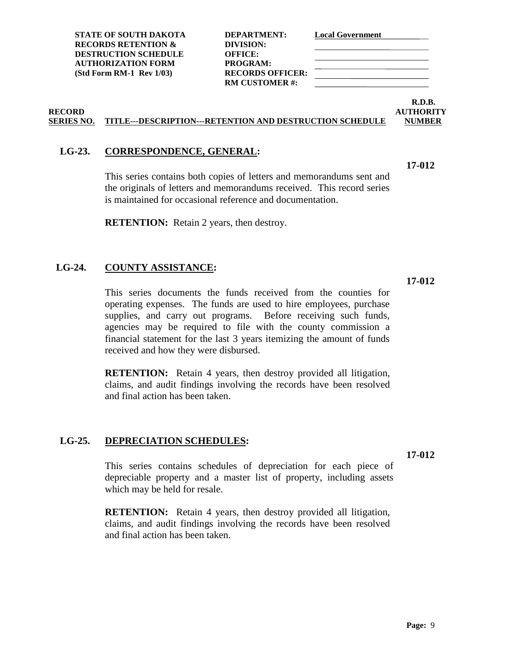**RM CUSTOMER #:**

### **R.D.B. RECORD AUTHORITY**

**17-012**

### **SERIES NO. TITLE---DESCRIPTION---RETENTION AND DESTRUCTION SCHEDULE NUMBER**

### <span id="page-16-0"></span>**LG-23. CORRESPONDENCE, GENERAL:**

This series contains both copies of letters and memorandums sent and the originals of letters and memorandums received. This record series is maintained for occasional reference and documentation.

**RETENTION:** Retain 2 years, then destroy.

### <span id="page-16-1"></span>**LG-24. COUNTY ASSISTANCE:**

**17-012**

This series documents the funds received from the counties for operating expenses. The funds are used to hire employees, purchase supplies, and carry out programs. Before receiving such funds, agencies may be required to file with the county commission a financial statement for the last 3 years itemizing the amount of funds received and how they were disbursed.

**RETENTION:** Retain 4 years, then destroy provided all litigation, claims, and audit findings involving the records have been resolved and final action has been taken.

### <span id="page-16-2"></span>**LG-25. DEPRECIATION SCHEDULES:**

**17-012**

This series contains schedules of depreciation for each piece of depreciable property and a master list of property, including assets which may be held for resale.

**RETENTION:** Retain 4 years, then destroy provided all litigation, claims, and audit findings involving the records have been resolved and final action has been taken.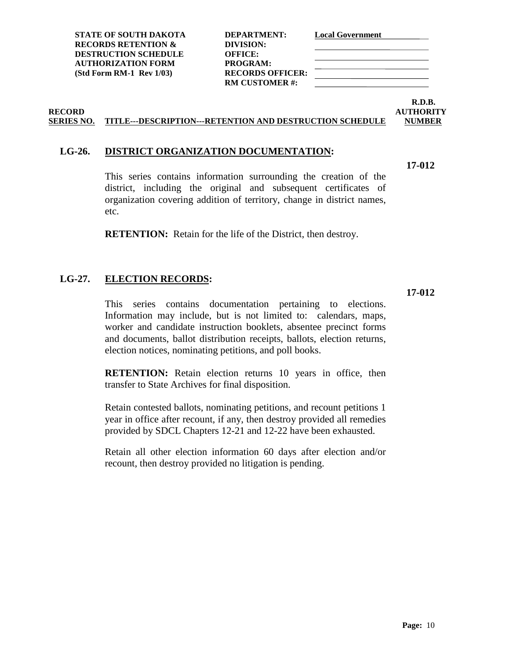**RM CUSTOMER #:**

## <span id="page-17-0"></span>**LG-26. DISTRICT ORGANIZATION DOCUMENTATION:**

This series contains information surrounding the creation of the district, including the original and subsequent certificates of organization covering addition of territory, change in district names, etc.

**RETENTION:** Retain for the life of the District, then destroy.

### <span id="page-17-1"></span>**LG-27. ELECTION RECORDS:**

This series contains documentation pertaining to elections. Information may include, but is not limited to: calendars, maps, worker and candidate instruction booklets, absentee precinct forms and documents, ballot distribution receipts, ballots, election returns, election notices, nominating petitions, and poll books.

**RETENTION:** Retain election returns 10 years in office, then transfer to State Archives for final disposition.

Retain contested ballots, nominating petitions, and recount petitions 1 year in office after recount, if any, then destroy provided all remedies provided by SDCL Chapters 12-21 and 12-22 have been exhausted.

Retain all other election information 60 days after election and/or recount, then destroy provided no litigation is pending.

**RECORD AUTHORITY SERIES NO. TITLE---DESCRIPTION---RETENTION AND DESTRUCTION SCHEDULE NUMBER**

**R.D.B.**

**17-012**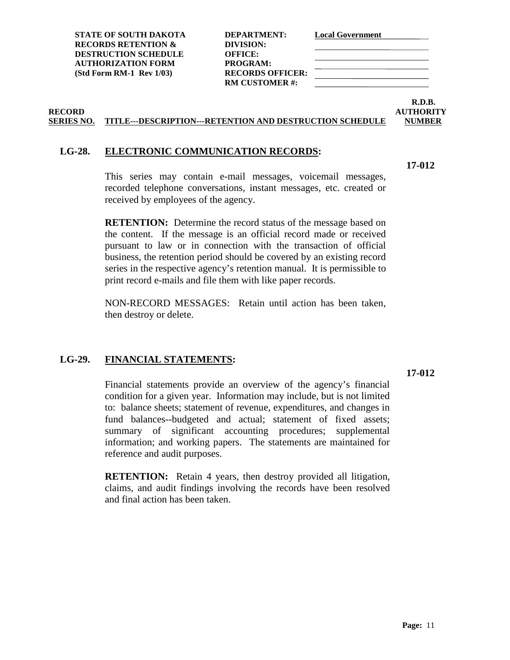| DEPARTMENT:             |
|-------------------------|
| DIVISION:               |
| <b>OFFICE:</b>          |
| PROGRAM:                |
| <b>RECORDS OFFICER:</b> |
| <b>RM CUSTOMER#:</b>    |
|                         |

**R.D.B. RECORD AUTHORITY**

### **SERIES NO. TITLE---DESCRIPTION---RETENTION AND DESTRUCTION SCHEDULE NUMBER**

### <span id="page-18-0"></span>**LG-28. ELECTRONIC COMMUNICATION RECORDS:**

**17-012**

This series may contain e-mail messages, voicemail messages, recorded telephone conversations, instant messages, etc. created or received by employees of the agency.

**RETENTION:** Determine the record status of the message based on the content. If the message is an official record made or received pursuant to law or in connection with the transaction of official business, the retention period should be covered by an existing record series in the respective agency's retention manual. It is permissible to print record e-mails and file them with like paper records.

NON-RECORD MESSAGES: Retain until action has been taken, then destroy or delete.

### <span id="page-18-1"></span>**LG-29. FINANCIAL STATEMENTS:**

**17-012**

Financial statements provide an overview of the agency's financial condition for a given year. Information may include, but is not limited to: balance sheets; statement of revenue, expenditures, and changes in fund balances--budgeted and actual; statement of fixed assets; summary of significant accounting procedures; supplemental information; and working papers. The statements are maintained for reference and audit purposes.

**RETENTION:** Retain 4 years, then destroy provided all litigation, claims, and audit findings involving the records have been resolved and final action has been taken.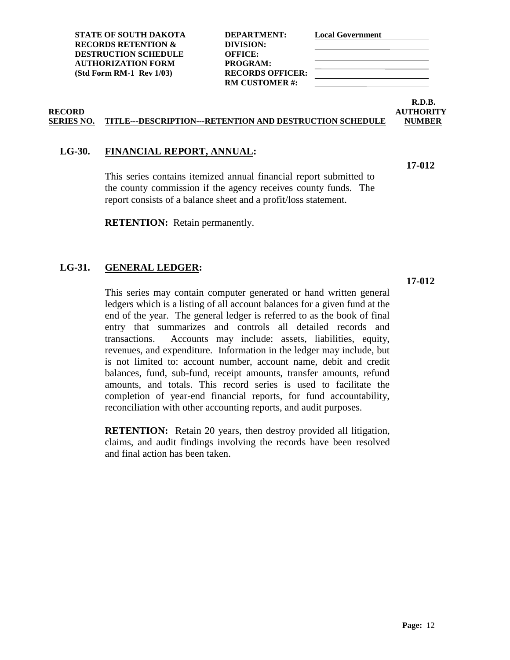| DEPARTMENT:             |
|-------------------------|
| DIVISION:               |
| <b>OFFICE:</b>          |
| PROGRAM:                |
| <b>RECORDS OFFICER:</b> |
| <b>RM CUSTOMER#:</b>    |
|                         |

### **R.D.B. RECORD AUTHORITY**

**17-012**

### **SERIES NO. TITLE---DESCRIPTION---RETENTION AND DESTRUCTION SCHEDULE NUMBER**

### <span id="page-19-0"></span>**LG-30. FINANCIAL REPORT, ANNUAL:**

This series contains itemized annual financial report submitted to the county commission if the agency receives county funds. The report consists of a balance sheet and a profit/loss statement.

**RETENTION:** Retain permanently.

### <span id="page-19-1"></span>**LG-31. GENERAL LEDGER:**

**17-012**

This series may contain computer generated or hand written general ledgers which is a listing of all account balances for a given fund at the end of the year. The general ledger is referred to as the book of final entry that summarizes and controls all detailed records and transactions. Accounts may include: assets, liabilities, equity, revenues, and expenditure. Information in the ledger may include, but is not limited to: account number, account name, debit and credit balances, fund, sub-fund, receipt amounts, transfer amounts, refund amounts, and totals. This record series is used to facilitate the completion of year-end financial reports, for fund accountability, reconciliation with other accounting reports, and audit purposes.

**RETENTION:** Retain 20 years, then destroy provided all litigation, claims, and audit findings involving the records have been resolved and final action has been taken.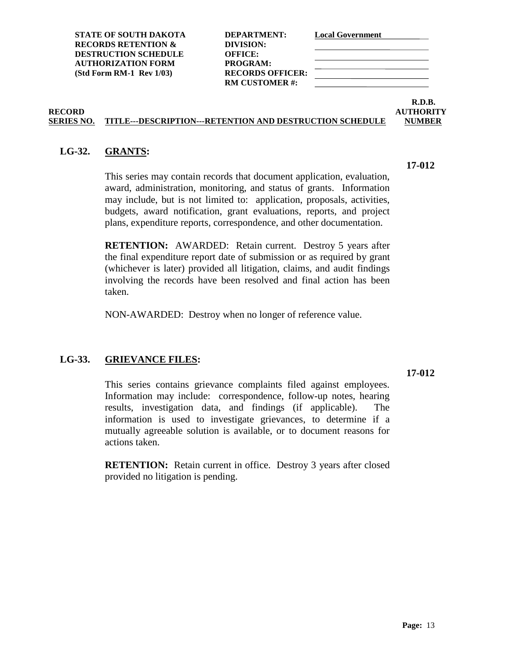**RM CUSTOMER #:**

# **R.D.B.**

**17-012**

### **RECORD AUTHORITY SERIES NO. TITLE---DESCRIPTION---RETENTION AND DESTRUCTION SCHEDULE NUMBER**

### <span id="page-20-0"></span>**LG-32. GRANTS:**

This series may contain records that document application, evaluation, award, administration, monitoring, and status of grants. Information may include, but is not limited to: application, proposals, activities, budgets, award notification, grant evaluations, reports, and project plans, expenditure reports, correspondence, and other documentation.

**RETENTION:** AWARDED: Retain current. Destroy 5 years after the final expenditure report date of submission or as required by grant (whichever is later) provided all litigation, claims, and audit findings involving the records have been resolved and final action has been taken.

NON-AWARDED: Destroy when no longer of reference value.

### <span id="page-20-1"></span>**LG-33. GRIEVANCE FILES:**

**17-012**

This series contains grievance complaints filed against employees. Information may include: correspondence, follow-up notes, hearing results, investigation data, and findings (if applicable). The information is used to investigate grievances, to determine if a mutually agreeable solution is available, or to document reasons for actions taken.

**RETENTION:** Retain current in office. Destroy 3 years after closed provided no litigation is pending.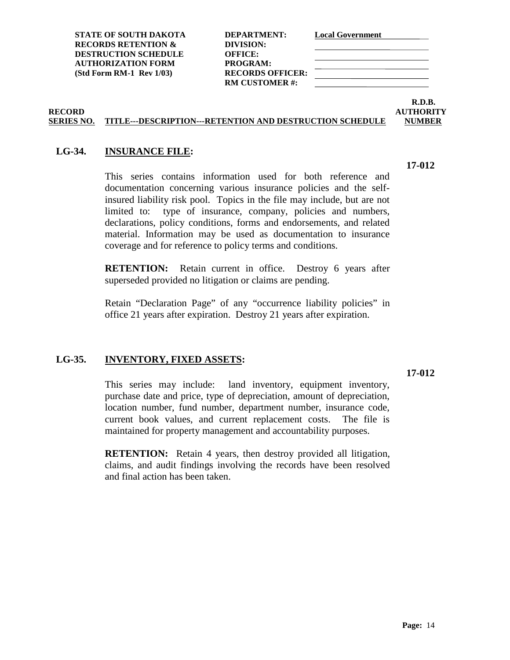| DEPARTMENT:             |
|-------------------------|
| DIVISION:               |
| <b>OFFICE:</b>          |
| PROGRAM:                |
| <b>RECORDS OFFICER:</b> |
| <b>RM CUSTOMER#:</b>    |
|                         |

# **R.D.B.**

### **RECORD AUTHORITY SERIES NO. TITLE---DESCRIPTION---RETENTION AND DESTRUCTION SCHEDULE NUMBER**

### <span id="page-21-0"></span>**LG-34. INSURANCE FILE:**

This series contains information used for both reference and documentation concerning various insurance policies and the selfinsured liability risk pool. Topics in the file may include, but are not limited to: type of insurance, company, policies and numbers, declarations, policy conditions, forms and endorsements, and related material. Information may be used as documentation to insurance coverage and for reference to policy terms and conditions.

**RETENTION:** Retain current in office. Destroy 6 years after superseded provided no litigation or claims are pending.

Retain "Declaration Page" of any "occurrence liability policies" in office 21 years after expiration. Destroy 21 years after expiration.

### <span id="page-21-1"></span>**LG-35. INVENTORY, FIXED ASSETS:**

**17-012**

This series may include: land inventory, equipment inventory, purchase date and price, type of depreciation, amount of depreciation, location number, fund number, department number, insurance code, current book values, and current replacement costs. The file is maintained for property management and accountability purposes.

**RETENTION:** Retain 4 years, then destroy provided all litigation, claims, and audit findings involving the records have been resolved and final action has been taken.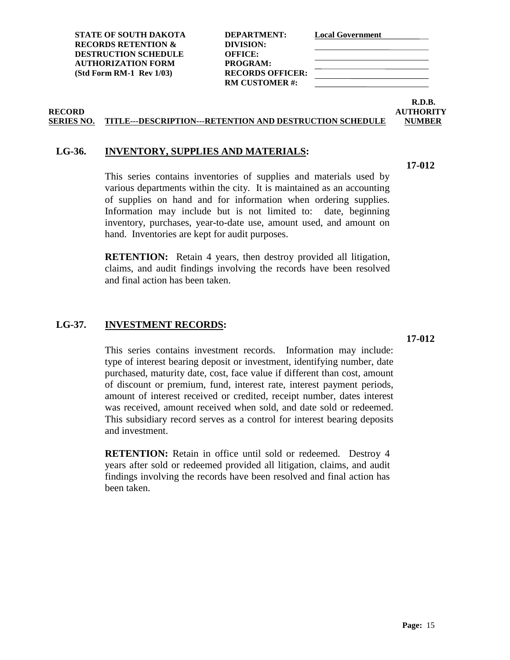**RM CUSTOMER #:**

**R.D.B.**

**RECORD AUTHORITY SERIES NO. TITLE---DESCRIPTION---RETENTION AND DESTRUCTION SCHEDULE NUMBER**

### <span id="page-22-0"></span>**LG-36. INVENTORY, SUPPLIES AND MATERIALS:**

This series contains inventories of supplies and materials used by various departments within the city. It is maintained as an accounting of supplies on hand and for information when ordering supplies. Information may include but is not limited to: date, beginning inventory, purchases, year-to-date use, amount used, and amount on hand. Inventories are kept for audit purposes.

**RETENTION:** Retain 4 years, then destroy provided all litigation, claims, and audit findings involving the records have been resolved and final action has been taken.

### <span id="page-22-1"></span>**LG-37. INVESTMENT RECORDS:**

This series contains investment records. Information may include: type of interest bearing deposit or investment, identifying number, date purchased, maturity date, cost, face value if different than cost, amount of discount or premium, fund, interest rate, interest payment periods, amount of interest received or credited, receipt number, dates interest was received, amount received when sold, and date sold or redeemed. This subsidiary record serves as a control for interest bearing deposits and investment.

**RETENTION:** Retain in office until sold or redeemed. Destroy 4 years after sold or redeemed provided all litigation, claims, and audit findings involving the records have been resolved and final action has been taken.

### **17-012**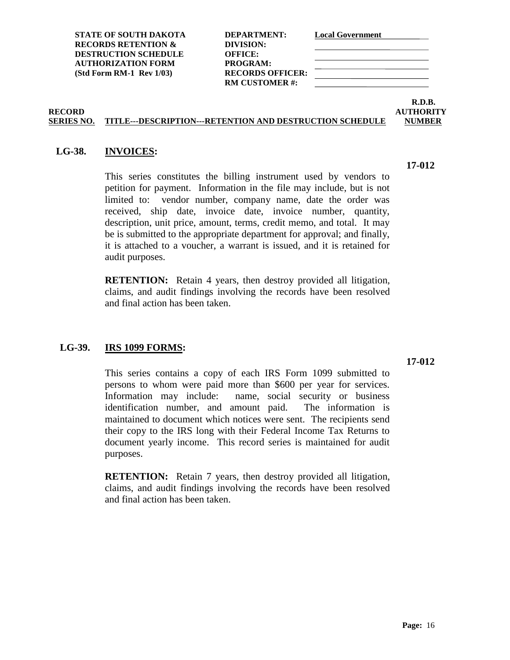**R.D.B.**

### **RECORD AUTHORITY SERIES NO. TITLE---DESCRIPTION---RETENTION AND DESTRUCTION SCHEDULE NUMBER**

### <span id="page-23-0"></span>**LG-38. INVOICES:**

This series constitutes the billing instrument used by vendors to petition for payment. Information in the file may include, but is not limited to: vendor number, company name, date the order was received, ship date, invoice date, invoice number, quantity, description, unit price, amount, terms, credit memo, and total. It may be is submitted to the appropriate department for approval; and finally, it is attached to a voucher, a warrant is issued, and it is retained for audit purposes.

**RETENTION:** Retain 4 years, then destroy provided all litigation, claims, and audit findings involving the records have been resolved and final action has been taken.

### <span id="page-23-1"></span>**LG-39. IRS 1099 FORMS:**

This series contains a copy of each IRS Form 1099 submitted to persons to whom were paid more than \$600 per year for services. Information may include: name, social security or business identification number, and amount paid. The information is maintained to document which notices were sent. The recipients send their copy to the IRS long with their Federal Income Tax Returns to document yearly income. This record series is maintained for audit purposes.

**RETENTION:** Retain 7 years, then destroy provided all litigation, claims, and audit findings involving the records have been resolved and final action has been taken.

### **RECORDS RETENTION & DIVISION: DESTRUCTION SCHEDULE OFFICE: AUTHORIZATION FORM PROGRAM: (Std Form RM-1 Rev 1/03) RECORDS OFFICER:**

## **17-012**

**17-012**

**RM CUSTOMER #:**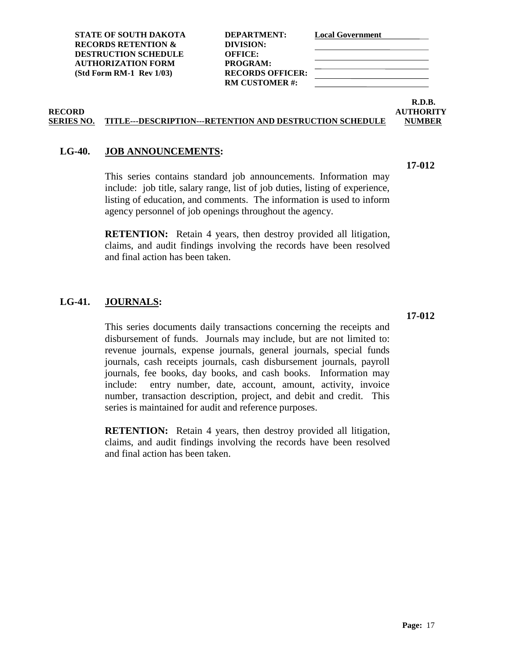**RM CUSTOMER #:**

# **R.D.B.**

**17-012**

### **RECORD AUTHORITY SERIES NO. TITLE---DESCRIPTION---RETENTION AND DESTRUCTION SCHEDULE NUMBER**

### <span id="page-24-0"></span>**LG-40. JOB ANNOUNCEMENTS:**

This series contains standard job announcements. Information may include: job title, salary range, list of job duties, listing of experience, listing of education, and comments. The information is used to inform agency personnel of job openings throughout the agency.

**RETENTION:** Retain 4 years, then destroy provided all litigation, claims, and audit findings involving the records have been resolved and final action has been taken.

### <span id="page-24-1"></span>**LG-41. JOURNALS:**

This series documents daily transactions concerning the receipts and disbursement of funds. Journals may include, but are not limited to: revenue journals, expense journals, general journals, special funds journals, cash receipts journals, cash disbursement journals, payroll journals, fee books, day books, and cash books. Information may include: entry number, date, account, amount, activity, invoice number, transaction description, project, and debit and credit. This series is maintained for audit and reference purposes.

**RETENTION:** Retain 4 years, then destroy provided all litigation, claims, and audit findings involving the records have been resolved and final action has been taken.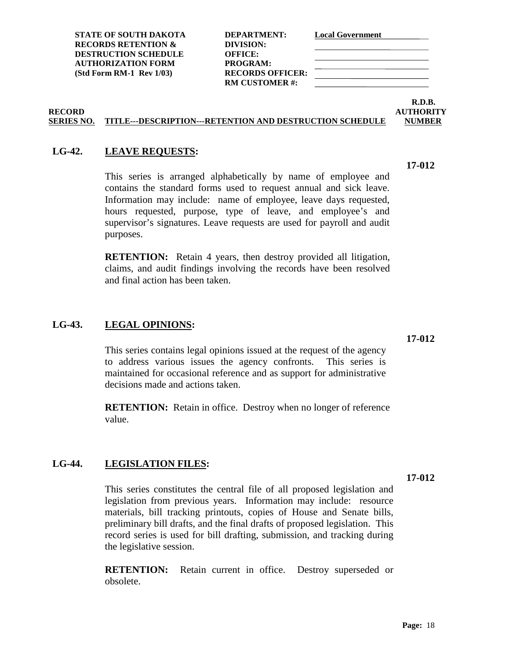**17-012**

**STATE OF SOUTH DAKOTA DEPARTMENT: Local Government RECORDS RETENTION & DIVISION: DESTRUCTION SCHEDULE OFFICE: AUTHORIZATION FORM PROGRAM: (Std Form RM-1 Rev 1/03) RECORDS OFFICER:**

**RM CUSTOMER #:**

**R.D.B.**

### **RECORD AUTHORITY SERIES NO. TITLE---DESCRIPTION---RETENTION AND DESTRUCTION SCHEDULE NUMBER**

### <span id="page-25-0"></span>**LG-42. LEAVE REQUESTS:**

This series is arranged alphabetically by name of employee and contains the standard forms used to request annual and sick leave. Information may include: name of employee, leave days requested, hours requested, purpose, type of leave, and employee's and supervisor's signatures. Leave requests are used for payroll and audit purposes.

**RETENTION:** Retain 4 years, then destroy provided all litigation, claims, and audit findings involving the records have been resolved and final action has been taken.

### <span id="page-25-1"></span>**LG-43. LEGAL OPINIONS:**

This series contains legal opinions issued at the request of the agency to address various issues the agency confronts. This series is maintained for occasional reference and as support for administrative decisions made and actions taken.

**RETENTION:** Retain in office. Destroy when no longer of reference value.

### <span id="page-25-2"></span>**LG-44. LEGISLATION FILES:**

This series constitutes the central file of all proposed legislation and legislation from previous years. Information may include: resource materials, bill tracking printouts, copies of House and Senate bills, preliminary bill drafts, and the final drafts of proposed legislation. This record series is used for bill drafting, submission, and tracking during the legislative session.

**RETENTION:** Retain current in office. Destroy superseded or obsolete.

**17-012**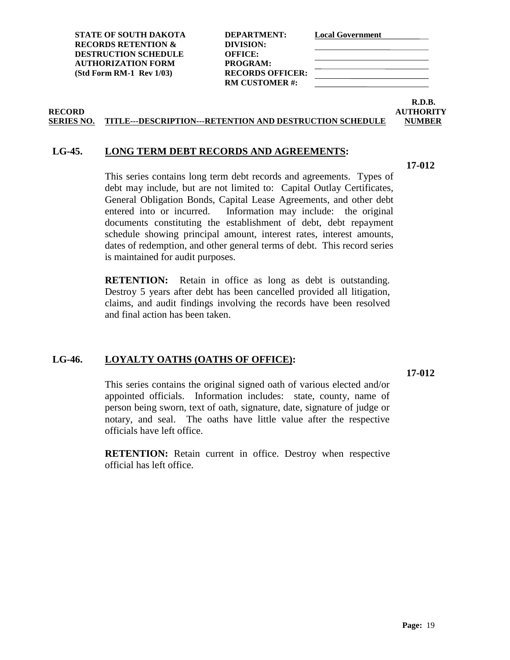**STATE OF SOUTH DAKOTA DEPARTMENT: Local Government**

**RECORD AUTHORITY SERIES NO. TITLE---DESCRIPTION---RETENTION AND DESTRUCTION SCHEDULE NUMBER**

### <span id="page-26-0"></span>**LG-45. LONG TERM DEBT RECORDS AND AGREEMENTS:**

This series contains long term debt records and agreements. Types of debt may include, but are not limited to: Capital Outlay Certificates, General Obligation Bonds, Capital Lease Agreements, and other debt entered into or incurred. Information may include: the original documents constituting the establishment of debt, debt repayment schedule showing principal amount, interest rates, interest amounts, dates of redemption, and other general terms of debt. This record series is maintained for audit purposes.

**RETENTION:** Retain in office as long as debt is outstanding. Destroy 5 years after debt has been cancelled provided all litigation, claims, and audit findings involving the records have been resolved and final action has been taken.

### <span id="page-26-1"></span>**LG-46. LOYALTY OATHS (OATHS OF OFFICE):**

This series contains the original signed oath of various elected and/or appointed officials. Information includes: state, county, name of person being sworn, text of oath, signature, date, signature of judge or notary, and seal. The oaths have little value after the respective officials have left office.

**RETENTION:** Retain current in office. Destroy when respective official has left office.

**DESTRUCTION SCHEDULE OFFICE: AUTHORIZATION FORM PROGRAM: (Std Form RM-1 Rev 1/03) RECORDS OFFICER: RM CUSTOMER #:**

**R.D.B.**

**17-012**

**17-012**

**RECORDS RETENTION & DIVISION:**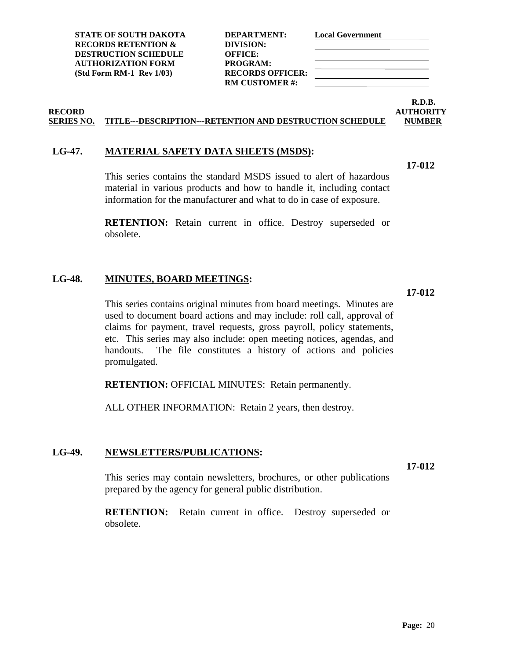| DEPARTMENT:             |
|-------------------------|
| DIVISION:               |
| OFFICE:                 |
| <b>PROGRAM:</b>         |
| <b>RECORDS OFFICER:</b> |
| RM CUSTOMER #:          |
|                         |

# **R.D.B.**

### **RECORD AUTHORITY SERIES NO. TITLE---DESCRIPTION---RETENTION AND DESTRUCTION SCHEDULE NUMBER**

### <span id="page-27-0"></span>**LG-47. MATERIAL SAFETY DATA SHEETS (MSDS):**

**17-012**

**17-012**

This series contains the standard MSDS issued to alert of hazardous material in various products and how to handle it, including contact information for the manufacturer and what to do in case of exposure.

**RETENTION:** Retain current in office. Destroy superseded or obsolete.

### <span id="page-27-1"></span>**LG-48. MINUTES, BOARD MEETINGS:**

This series contains original minutes from board meetings. Minutes are used to document board actions and may include: roll call, approval of claims for payment, travel requests, gross payroll, policy statements, etc. This series may also include: open meeting notices, agendas, and handouts. The file constitutes a history of actions and policies promulgated.

**RETENTION: OFFICIAL MINUTES: Retain permanently.** 

ALL OTHER INFORMATION: Retain 2 years, then destroy.

### <span id="page-27-2"></span>**LG-49. NEWSLETTERS/PUBLICATIONS:**

**17-012**

This series may contain newsletters, brochures, or other publications prepared by the agency for general public distribution.

**RETENTION:** Retain current in office. Destroy superseded or obsolete.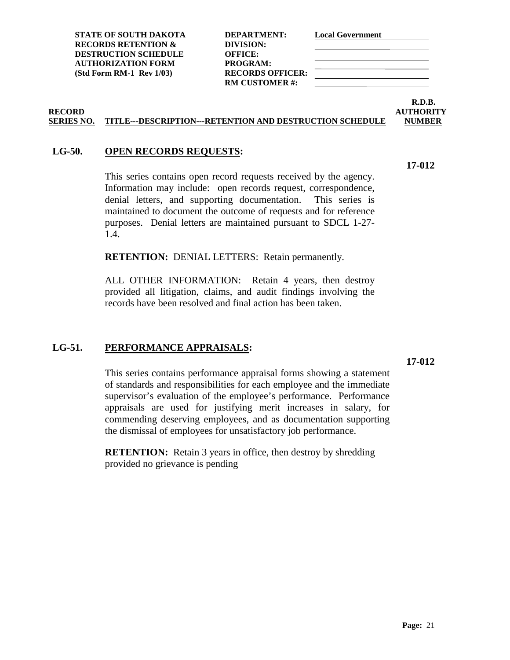| DEPARTMENT:             |  |
|-------------------------|--|
| DIVISION:               |  |
| <b>OFFICE:</b>          |  |
| PROGRAM:                |  |
| <b>RECORDS OFFICER:</b> |  |
| <b>RM CUSTOMER#:</b>    |  |
|                         |  |

# **R.D.B.**

**17-012**

### **RECORD AUTHORITY SERIES NO. TITLE---DESCRIPTION---RETENTION AND DESTRUCTION SCHEDULE NUMBER**

### <span id="page-28-0"></span>**LG-50. OPEN RECORDS REQUESTS:**

This series contains open record requests received by the agency. Information may include: open records request, correspondence, denial letters, and supporting documentation. This series is maintained to document the outcome of requests and for reference purposes. Denial letters are maintained pursuant to SDCL 1-27- 1.4.

**RETENTION:** DENIAL LETTERS: Retain permanently.

ALL OTHER INFORMATION: Retain 4 years, then destroy provided all litigation, claims, and audit findings involving the records have been resolved and final action has been taken.

### <span id="page-28-1"></span>**LG-51. PERFORMANCE APPRAISALS:**

**17-012**

This series contains performance appraisal forms showing a statement of standards and responsibilities for each employee and the immediate supervisor's evaluation of the employee's performance. Performance appraisals are used for justifying merit increases in salary, for commending deserving employees, and as documentation supporting the dismissal of employees for unsatisfactory job performance.

**RETENTION:** Retain 3 years in office, then destroy by shredding provided no grievance is pending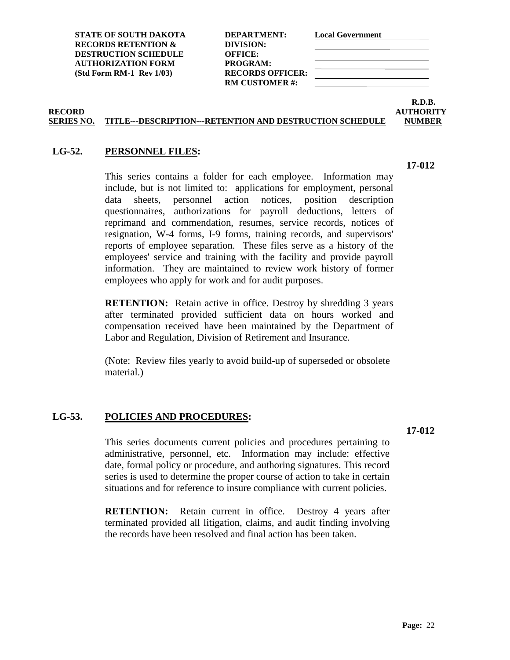| DEPARTMENT:           |
|-----------------------|
| DIVISION:             |
| OFFICE:               |
| <b>PROGRAM:</b>       |
| RECORDS OFFICER:      |
| <b>RM CUSTOMER #:</b> |
|                       |

### **R.D.B. RECORD AUTHORITY**

### **SERIES NO. TITLE---DESCRIPTION---RETENTION AND DESTRUCTION SCHEDULE NUMBER**

### <span id="page-29-0"></span>**LG-52. PERSONNEL FILES:**

This series contains a folder for each employee. Information may include, but is not limited to: applications for employment, personal data sheets, personnel action notices, position description questionnaires, authorizations for payroll deductions, letters of reprimand and commendation, resumes, service records, notices of resignation, W-4 forms, I-9 forms, training records, and supervisors' reports of employee separation. These files serve as a history of the employees' service and training with the facility and provide payroll information. They are maintained to review work history of former employees who apply for work and for audit purposes.

**RETENTION:** Retain active in office. Destroy by shredding 3 years after terminated provided sufficient data on hours worked and compensation received have been maintained by the Department of Labor and Regulation, Division of Retirement and Insurance.

(Note: Review files yearly to avoid build-up of superseded or obsolete material.)

### <span id="page-29-1"></span>**LG-53. POLICIES AND PROCEDURES:**

**17-012**

This series documents current policies and procedures pertaining to administrative, personnel, etc. Information may include: effective date, formal policy or procedure, and authoring signatures. This record series is used to determine the proper course of action to take in certain situations and for reference to insure compliance with current policies.

**RETENTION:** Retain current in office. Destroy 4 years after terminated provided all litigation, claims, and audit finding involving the records have been resolved and final action has been taken.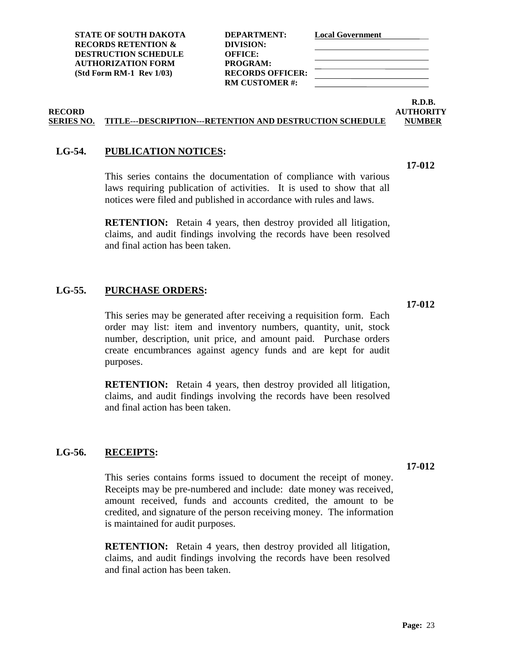**RM CUSTOMER #:**

**R.D.B. RECORD AUTHORITY**

**17-012**

### **SERIES NO. TITLE---DESCRIPTION---RETENTION AND DESTRUCTION SCHEDULE NUMBER**

### <span id="page-30-0"></span>**LG-54. PUBLICATION NOTICES:**

This series contains the documentation of compliance with various laws requiring publication of activities. It is used to show that all notices were filed and published in accordance with rules and laws.

**RETENTION:** Retain 4 years, then destroy provided all litigation, claims, and audit findings involving the records have been resolved and final action has been taken.

### <span id="page-30-1"></span>**LG-55. PURCHASE ORDERS:**

This series may be generated after receiving a requisition form. Each order may list: item and inventory numbers, quantity, unit, stock number, description, unit price, and amount paid. Purchase orders create encumbrances against agency funds and are kept for audit purposes.

**RETENTION:** Retain 4 years, then destroy provided all litigation, claims, and audit findings involving the records have been resolved and final action has been taken.

### <span id="page-30-2"></span>**LG-56. RECEIPTS:**

This series contains forms issued to document the receipt of money. Receipts may be pre-numbered and include: date money was received, amount received, funds and accounts credited, the amount to be credited, and signature of the person receiving money. The information is maintained for audit purposes.

**RETENTION:** Retain 4 years, then destroy provided all litigation, claims, and audit findings involving the records have been resolved and final action has been taken.

### **17-012**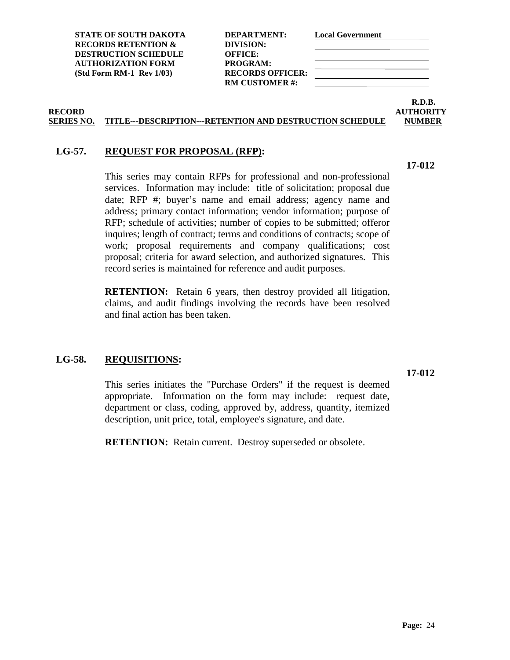**STATE OF SOUTH DAKOTA DEPARTMENT: Local Government RECORDS RETENTION & DIVISION: DESTRUCTION SCHEDULE OFFICE: AUTHORIZATION FORM PROGRAM: (Std Form RM-1 Rev 1/03) RECORDS OFFICER:**

**RM CUSTOMER #:**

**R.D.B.**

### **RECORD AUTHORITY SERIES NO. TITLE---DESCRIPTION---RETENTION AND DESTRUCTION SCHEDULE NUMBER**

### <span id="page-31-0"></span>**LG-57. REQUEST FOR PROPOSAL (RFP):**

This series may contain RFPs for professional and non-professional services. Information may include: title of solicitation; proposal due date; RFP #; buyer's name and email address; agency name and address; primary contact information; vendor information; purpose of RFP; schedule of activities; number of copies to be submitted; offeror inquires; length of contract; terms and conditions of contracts; scope of work; proposal requirements and company qualifications; cost proposal; criteria for award selection, and authorized signatures. This record series is maintained for reference and audit purposes.

**RETENTION:** Retain 6 years, then destroy provided all litigation, claims, and audit findings involving the records have been resolved and final action has been taken.

### <span id="page-31-1"></span>**LG-58. REQUISITIONS:**

This series initiates the "Purchase Orders" if the request is deemed appropriate. Information on the form may include: request date, department or class, coding, approved by, address, quantity, itemized description, unit price, total, employee's signature, and date.

**RETENTION:** Retain current. Destroy superseded or obsolete.

**17-012**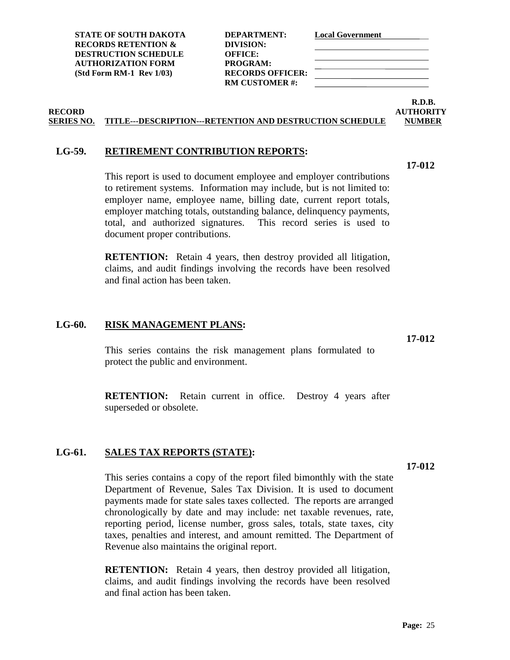**STATE OF SOUTH DAKOTA DEPARTMENT: Local Government RECORDS RETENTION & DIVISION: DESTRUCTION SCHEDULE OFFICE: AUTHORIZATION FORM PROGRAM: (Std Form RM-1 Rev 1/03) RECORDS OFFICER:**

**RM CUSTOMER #:**

### **RECORD AUTHORITY SERIES NO. TITLE---DESCRIPTION---RETENTION AND DESTRUCTION SCHEDULE NUMBER**

### <span id="page-32-0"></span>**LG-59. RETIREMENT CONTRIBUTION REPORTS:**

This report is used to document employee and employer contributions to retirement systems. Information may include, but is not limited to: employer name, employee name, billing date, current report totals, employer matching totals, outstanding balance, delinquency payments, total, and authorized signatures. This record series is used to document proper contributions.

**RETENTION:** Retain 4 years, then destroy provided all litigation, claims, and audit findings involving the records have been resolved and final action has been taken.

### <span id="page-32-1"></span>**LG-60. RISK MANAGEMENT PLANS:**

This series contains the risk management plans formulated to protect the public and environment.

**RETENTION:** Retain current in office. Destroy 4 years after superseded or obsolete.

### <span id="page-32-2"></span>**LG-61. SALES TAX REPORTS (STATE):**

This series contains a copy of the report filed bimonthly with the state Department of Revenue, Sales Tax Division. It is used to document payments made for state sales taxes collected. The reports are arranged chronologically by date and may include: net taxable revenues, rate, reporting period, license number, gross sales, totals, state taxes, city taxes, penalties and interest, and amount remitted. The Department of Revenue also maintains the original report.

**RETENTION:** Retain 4 years, then destroy provided all litigation, claims, and audit findings involving the records have been resolved and final action has been taken.

**17-012**

**17-012**

**17-012**

**R.D.B.**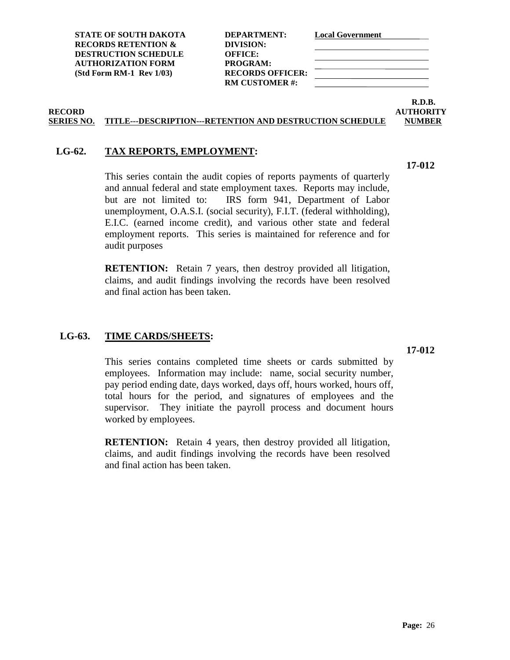**STATE OF SOUTH DAKOTA DEPARTMENT: Local Government RECORDS RETENTION & DIVISION: DESTRUCTION SCHEDULE OFFICE: AUTHORIZATION FORM PROGRAM: (Std Form RM-1 Rev 1/03) RECORDS OFFICER:**

**RM CUSTOMER #:**

**R.D.B. RECORD AUTHORITY**

### **SERIES NO. TITLE---DESCRIPTION---RETENTION AND DESTRUCTION SCHEDULE NUMBER**

### <span id="page-33-0"></span>**LG-62. TAX REPORTS, EMPLOYMENT:**

This series contain the audit copies of reports payments of quarterly and annual federal and state employment taxes. Reports may include, but are not limited to: IRS form 941, Department of Labor unemployment, O.A.S.I. (social security), F.I.T. (federal withholding), E.I.C. (earned income credit), and various other state and federal employment reports. This series is maintained for reference and for audit purposes

**RETENTION:** Retain 7 years, then destroy provided all litigation, claims, and audit findings involving the records have been resolved and final action has been taken.

### <span id="page-33-1"></span>**LG-63. TIME CARDS/SHEETS:**

This series contains completed time sheets or cards submitted by employees. Information may include: name, social security number, pay period ending date, days worked, days off, hours worked, hours off, total hours for the period, and signatures of employees and the supervisor. They initiate the payroll process and document hours worked by employees.

**RETENTION:** Retain 4 years, then destroy provided all litigation, claims, and audit findings involving the records have been resolved and final action has been taken.

## **17-012**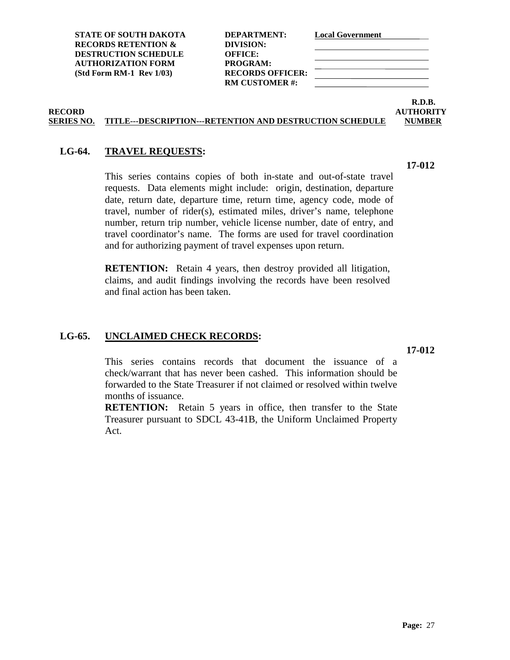**STATE OF SOUTH DAKOTA DEPARTMENT: Local Government**

**RECORDS RETENTION & DIVISION: DESTRUCTION SCHEDULE OFFICE: AUTHORIZATION FORM PROGRAM: (Std Form RM-1 Rev 1/03) RECORDS OFFICER: RM CUSTOMER #:**

### **RECORD AUTHORITY SERIES NO. TITLE---DESCRIPTION---RETENTION AND DESTRUCTION SCHEDULE NUMBER**

### <span id="page-34-0"></span>**LG-64. TRAVEL REQUESTS:**

This series contains copies of both in-state and out-of-state travel requests. Data elements might include: origin, destination, departure date, return date, departure time, return time, agency code, mode of travel, number of rider(s), estimated miles, driver's name, telephone number, return trip number, vehicle license number, date of entry, and travel coordinator's name. The forms are used for travel coordination and for authorizing payment of travel expenses upon return.

**RETENTION:** Retain 4 years, then destroy provided all litigation, claims, and audit findings involving the records have been resolved and final action has been taken.

### <span id="page-34-1"></span>**LG-65. UNCLAIMED CHECK RECORDS:**

This series contains records that document the issuance of a check/warrant that has never been cashed. This information should be forwarded to the State Treasurer if not claimed or resolved within twelve months of issuance.

**RETENTION:** Retain 5 years in office, then transfer to the State Treasurer pursuant to SDCL 43-41B, the Uniform Unclaimed Property Act.

**R.D.B.**

**17-012**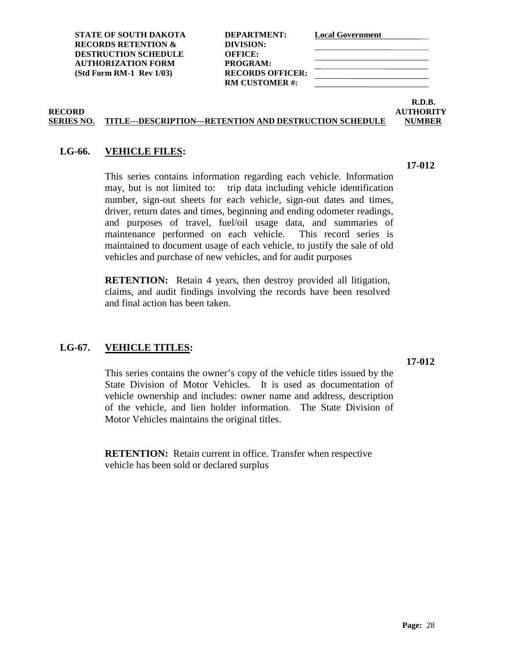**STATE OF SOUTH DAKOTA DEPARTMENT: Local Government RECORDS RETENTION & DIVISION: DESTRUCTION SCHEDULE OFFICE: AUTHORIZATION FORM PROGRAM: (Std Form RM-1 Rev 1/03) RECORDS OFFICER: RM CUSTOMER #:**

# **R.D.B.**

### **SERIES NO. TITLE---DESCRIPTION---RETENTION AND DESTRUCTION SCHEDULE NUMBER**

### <span id="page-35-0"></span>**LG-66. VEHICLE FILES:**

This series contains information regarding each vehicle. Information may, but is not limited to: trip data including vehicle identification number, sign-out sheets for each vehicle, sign-out dates and times, driver, return dates and times, beginning and ending odometer readings, and purposes of travel, fuel/oil usage data, and summaries of maintenance performed on each vehicle. This record series is maintained to document usage of each vehicle, to justify the sale of old vehicles and purchase of new vehicles, and for audit purposes

**RETENTION:** Retain 4 years, then destroy provided all litigation, claims, and audit findings involving the records have been resolved and final action has been taken.

### <span id="page-35-1"></span>**LG-67. VEHICLE TITLES:**

This series contains the owner's copy of the vehicle titles issued by the State Division of Motor Vehicles. It is used as documentation of vehicle ownership and includes: owner name and address, description of the vehicle, and lien holder information. The State Division of Motor Vehicles maintains the original titles.

**RETENTION:** Retain current in office. Transfer when respective vehicle has been sold or declared surplus

**17-012**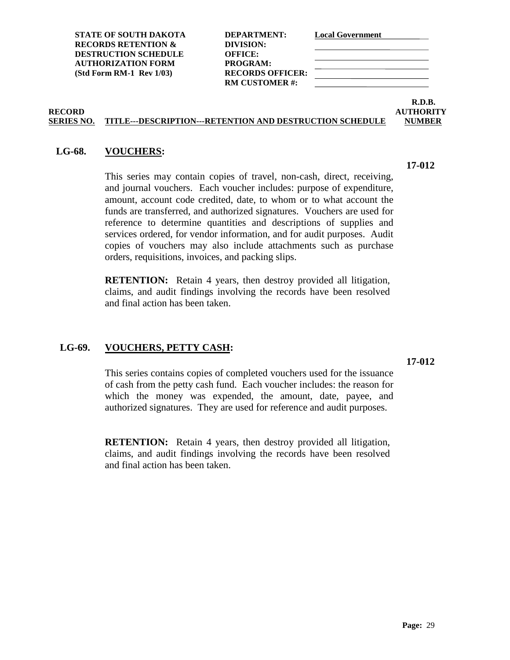**STATE OF SOUTH DAKOTA DEPARTMENT: Local Government RECORDS RETENTION & DIVISION: DESTRUCTION SCHEDULE OFFICE: AUTHORIZATION FORM PROGRAM: (Std Form RM-1 Rev 1/03) RECORDS OFFICER:**

**RM CUSTOMER #:**

**R.D.B. RECORD AUTHORITY**

### **SERIES NO. TITLE---DESCRIPTION---RETENTION AND DESTRUCTION SCHEDULE NUMBER**

### <span id="page-36-0"></span>**LG-68. VOUCHERS:**

This series may contain copies of travel, non-cash, direct, receiving, and journal vouchers. Each voucher includes: purpose of expenditure, amount, account code credited, date, to whom or to what account the funds are transferred, and authorized signatures. Vouchers are used for reference to determine quantities and descriptions of supplies and services ordered, for vendor information, and for audit purposes. Audit copies of vouchers may also include attachments such as purchase orders, requisitions, invoices, and packing slips.

**RETENTION:** Retain 4 years, then destroy provided all litigation, claims, and audit findings involving the records have been resolved and final action has been taken.

### <span id="page-36-1"></span>**LG-69. VOUCHERS, PETTY CASH:**

This series contains copies of completed vouchers used for the issuance of cash from the petty cash fund. Each voucher includes: the reason for which the money was expended, the amount, date, payee, and authorized signatures. They are used for reference and audit purposes.

**RETENTION:** Retain 4 years, then destroy provided all litigation, claims, and audit findings involving the records have been resolved and final action has been taken.

**17-012**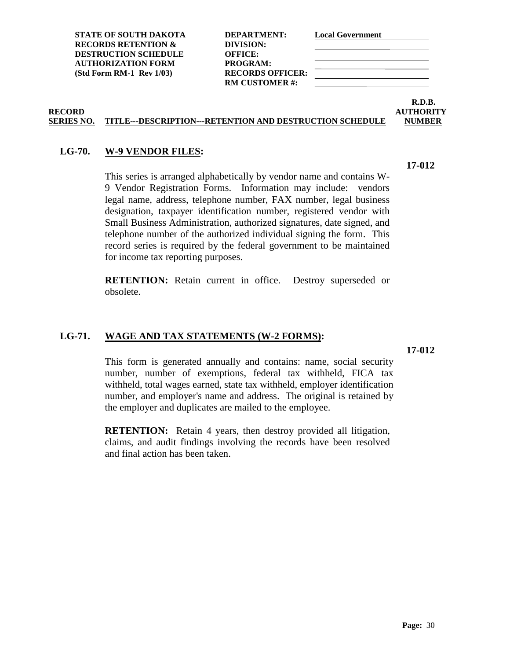**STATE OF SOUTH DAKOTA DEPARTMENT: Local Government RECORDS RETENTION & DIVISION: DESTRUCTION SCHEDULE OFFICE: AUTHORIZATION FORM PROGRAM: (Std Form RM-1 Rev 1/03) RECORDS OFFICER:**

**RM CUSTOMER #:**

### **R.D.B. RECORD AUTHORITY SERIES NO. TITLE---DESCRIPTION---RETENTION AND DESTRUCTION SCHEDULE NUMBER**

## <span id="page-37-0"></span>**LG-70. W-9 VENDOR FILES:**

This series is arranged alphabetically by vendor name and contains W-9 Vendor Registration Forms. Information may include: vendors legal name, address, telephone number, FAX number, legal business designation, taxpayer identification number, registered vendor with Small Business Administration, authorized signatures, date signed, and telephone number of the authorized individual signing the form. This record series is required by the federal government to be maintained for income tax reporting purposes.

**RETENTION:** Retain current in office. Destroy superseded or obsolete.

### <span id="page-37-1"></span>**LG-71. WAGE AND TAX STATEMENTS (W-2 FORMS):**

**17-012**

This form is generated annually and contains: name, social security number, number of exemptions, federal tax withheld, FICA tax withheld, total wages earned, state tax withheld, employer identification number, and employer's name and address. The original is retained by the employer and duplicates are mailed to the employee.

**RETENTION:** Retain 4 years, then destroy provided all litigation, claims, and audit findings involving the records have been resolved and final action has been taken.

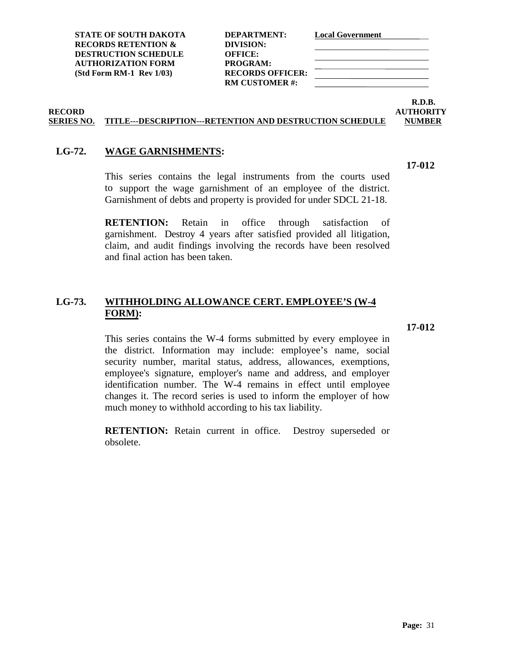| DEPARTMENT:             |
|-------------------------|
| DIVISION:               |
| <b>OFFICE:</b>          |
| PROGRAM:                |
| <b>RECORDS OFFICER:</b> |
| <b>RM CUSTOMER#:</b>    |
|                         |

### **R.D.B. RECORD AUTHORITY**

**17-012**

### **SERIES NO. TITLE---DESCRIPTION---RETENTION AND DESTRUCTION SCHEDULE NUMBER**

### <span id="page-38-0"></span>**LG-72. WAGE GARNISHMENTS:**

This series contains the legal instruments from the courts used to support the wage garnishment of an employee of the district. Garnishment of debts and property is provided for under SDCL 21-18.

**RETENTION:** Retain in office through satisfaction of garnishment. Destroy 4 years after satisfied provided all litigation, claim, and audit findings involving the records have been resolved and final action has been taken.

### <span id="page-38-1"></span>**LG-73. WITHHOLDING ALLOWANCE CERT. EMPLOYEE'S (W-4 FORM):**

**17-012**

This series contains the W-4 forms submitted by every employee in the district. Information may include: employee's name, social security number, marital status, address, allowances, exemptions, employee's signature, employer's name and address, and employer identification number. The W-4 remains in effect until employee changes it. The record series is used to inform the employer of how much money to withhold according to his tax liability.

**RETENTION:** Retain current in office. Destroy superseded or obsolete.